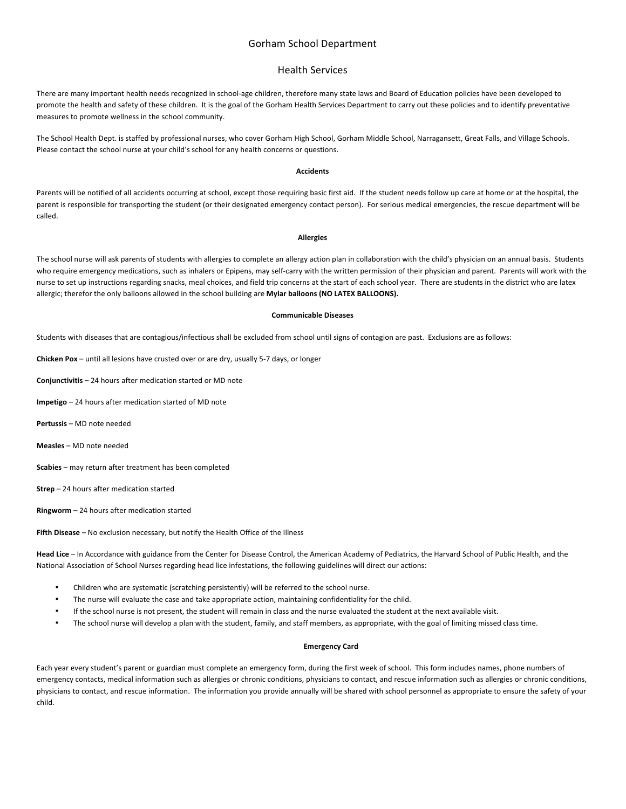# Gorham School Department

## Health Services

There are many important health needs recognized in school-age children, therefore many state laws and Board of Education policies have been developed to promote the health and safety of these children. It is the goal of the Gorham Health Services Department to carry out these policies and to identify preventative measures to promote wellness in the school community.

The School Health Dept. is staffed by professional nurses, who cover Gorham High School, Gorham Middle School, Narragansett, Great Falls, and Village Schools. Please contact the school nurse at your child's school for any health concerns or questions.

## **Accidents**

Parents will be notified of all accidents occurring at school, except those requiring basic first aid. If the student needs follow up care at home or at the hospital, the parent is responsible for transporting the student (or their designated emergency contact person). For serious medical emergencies, the rescue department will be called.

#### **Allergies**

The school nurse will ask parents of students with allergies to complete an allergy action plan in collaboration with the child's physician on an annual basis. Students who require emergency medications, such as inhalers or Epipens, may self-carry with the written permission of their physician and parent. Parents will work with the nurse to set up instructions regarding snacks, meal choices, and field trip concerns at the start of each school year. There are students in the district who are latex allergic; therefor the only balloons allowed in the school building are Mylar balloons (NO LATEX BALLOONS).

#### **Communicable Diseases**

Students with diseases that are contagious/infectious shall be excluded from school until signs of contagion are past. Exclusions are as follows:

**Chicken Pox** – until all lesions have crusted over or are dry, usually 5-7 days, or longer

**Conjunctivitis** – 24 hours after medication started or MD note

**Impetigo** – 24 hours after medication started of MD note

**Pertussis** – MD note needed

**Measles** – MD note needed

**Scabies** – may return after treatment has been completed

**Strep** – 24 hours after medication started

**Ringworm** – 24 hours after medication started

Fifth Disease – No exclusion necessary, but notify the Health Office of the Illness

Head Lice – In Accordance with guidance from the Center for Disease Control, the American Academy of Pediatrics, the Harvard School of Public Health, and the National Association of School Nurses regarding head lice infestations, the following guidelines will direct our actions:

- Children who are systematic (scratching persistently) will be referred to the school nurse.
- The nurse will evaluate the case and take appropriate action, maintaining confidentiality for the child.
- If the school nurse is not present, the student will remain in class and the nurse evaluated the student at the next available visit.
- The school nurse will develop a plan with the student, family, and staff members, as appropriate, with the goal of limiting missed class time.

## **Emergency Card**

Each year every student's parent or guardian must complete an emergency form, during the first week of school. This form includes names, phone numbers of emergency contacts, medical information such as allergies or chronic conditions, physicians to contact, and rescue information such as allergies or chronic conditions, physicians to contact, and rescue information. The information you provide annually will be shared with school personnel as appropriate to ensure the safety of your child.